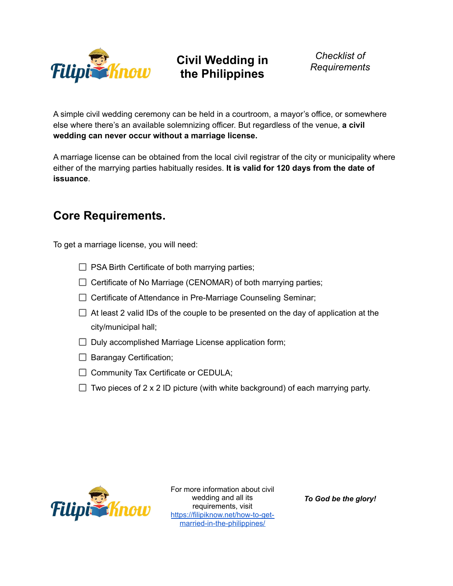

# **Civil Wedding in the Philippines**

*Checklist of Requirements*

A simple civil wedding ceremony can be held in a courtroom, a mayor's office, or somewhere else where there's an available solemnizing officer. But regardless of the venue, **a civil wedding can never occur without a marriage license.**

A marriage license can be obtained from the local civil registrar of the city or municipality where either of the marrying parties habitually resides. **It is valid for 120 days from the date of issuance**.

## **Core Requirements.**

To get a marriage license, you will need:

- $\Box$  PSA Birth Certificate of both marrying parties;
- $\Box$  Certificate of No Marriage (CENOMAR) of both marrying parties;
- $\Box$  Certificate of Attendance in Pre-Marriage Counseling Seminar;
- $\Box$  At least 2 valid IDs of the couple to be presented on the day of application at the city/municipal hall;
- $\Box$  Duly accomplished Marriage License application form;
- $\Box$  Barangay Certification;
- $\Box$  Community Tax Certificate or CEDULA;
- $\Box$  Two pieces of 2 x 2 ID picture (with white background) of each marrying party.



For more information about civil wedding and all its requirements, visit [https://filipiknow.net/how-to-get](https://filipiknow.net/how-to-get-married-in-the-philippines/)[married-in-the-philippines/](https://filipiknow.net/how-to-get-married-in-the-philippines/)

*To God be the glory!*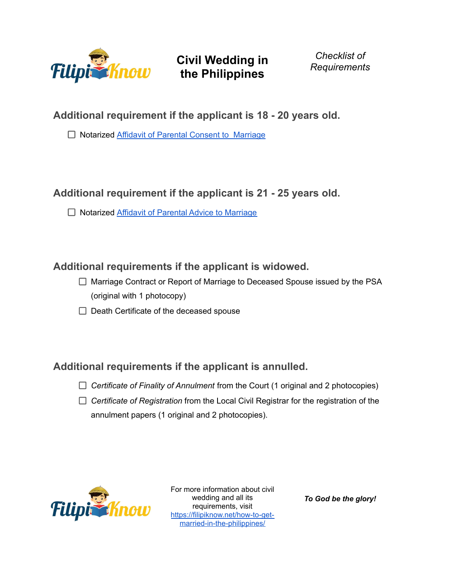

**Civil Wedding in the Philippines**

*Checklist of Requirements*

**Additional requirement if the applicant is 18 - 20 years old.**

□ Notarized Affidavit of Parental Consent to [Marriage](https://filipiknow.net/parental-consent-for-marriage-philippines/)

### **Additional requirement if the applicant is 21 - 25 years old.**

□ Notarized Affidavit of Parental Advice to [Marriage](https://filipiknow.net/parental-advice-for-marriage-philippines/)

#### **Additional requirements if the applicant is widowed.**

- $\Box$  Marriage Contract or Report of Marriage to Deceased Spouse issued by the PSA (original with 1 photocopy)
- $\Box$  Death Certificate of the deceased spouse

### **Additional requirements if the applicant is annulled.**

- *Certificate of Finality of Annulment* from the Court (1 original and 2 photocopies)
- *Certificate of Registration* from the Local Civil Registrar for the registration of the annulment papers (1 original and 2 photocopies).



For more information about civil wedding and all its requirements, visit [https://filipiknow.net/how-to-get](https://filipiknow.net/how-to-get-married-in-the-philippines/)[married-in-the-philippines/](https://filipiknow.net/how-to-get-married-in-the-philippines/)

*To God be the glory!*